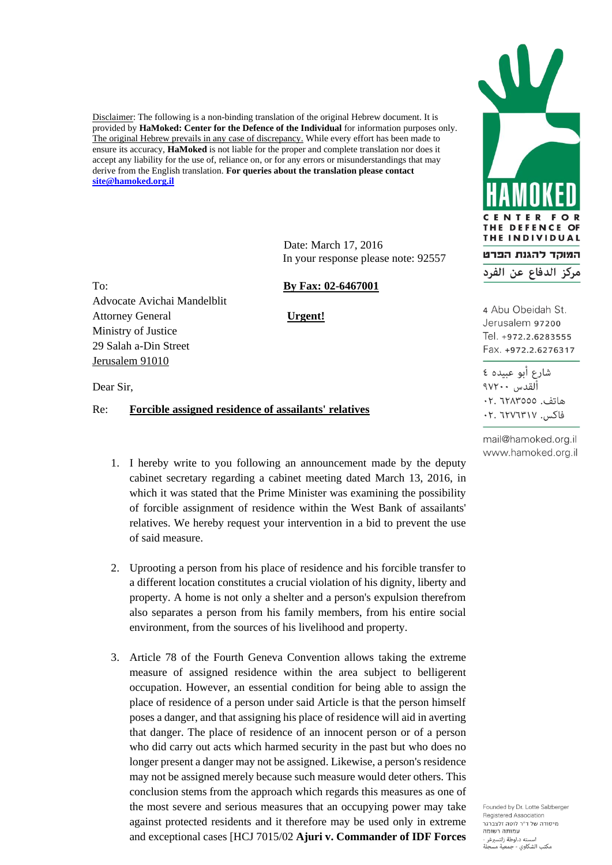Disclaimer: The following is a non-binding translation of the original Hebrew document. It is provided by **HaMoked: Center for the Defence of the Individual** for information purposes only. The original Hebrew prevails in any case of discrepancy. While every effort has been made to ensure its accuracy, **HaMoked** is not liable for the proper and complete translation nor does it accept any liability for the use of, reliance on, or for any errors or misunderstandings that may derive from the English translation. **For queries about the translation please contact [site@hamoked.org.il](mailto:site@hamoked.org.il)**

> Date: March 17, 2016 In your response please note: 92557

Advocate Avichai Mandelblit Attorney General **Urgent!** Ministry of Justice 29 Salah a-Din Street Jerusalem 91010

To: **By Fax: 02-6467001**

Dear Sir,

## Re: **Forcible assigned residence of assailants' relatives**

- 1. I hereby write to you following an announcement made by the deputy cabinet secretary regarding a cabinet meeting dated March 13, 2016, in which it was stated that the Prime Minister was examining the possibility of forcible assignment of residence within the West Bank of assailants' relatives. We hereby request your intervention in a bid to prevent the use of said measure.
- 2. Uprooting a person from his place of residence and his forcible transfer to a different location constitutes a crucial violation of his dignity, liberty and property. A home is not only a shelter and a person's expulsion therefrom also separates a person from his family members, from his entire social environment, from the sources of his livelihood and property.
- 3. Article 78 of the Fourth Geneva Convention allows taking the extreme measure of assigned residence within the area subject to belligerent occupation. However, an essential condition for being able to assign the place of residence of a person under said Article is that the person himself poses a danger, and that assigning his place of residence will aid in averting that danger. The place of residence of an innocent person or of a person who did carry out acts which harmed security in the past but who does no longer present a danger may not be assigned. Likewise, a person's residence may not be assigned merely because such measure would deter others. This conclusion stems from the approach which regards this measures as one of the most severe and serious measures that an occupying power may take against protected residents and it therefore may be used only in extreme and exceptional cases [HCJ 7015/02 **Ajuri v. Commander of IDF Forces**



4 Abu Obeidah St. Jerusalem 97200 Tel. +972.2.6283555 Fax. +972.2.6276317

شارع أبو عبيده ٤ القدس ١٧٢٠٠ هاتف. ٦٢٨٣٥٥٥: ٠٢ فاكس. ٢٠٧٦٣١٧. ٢٠

mail@hamoked.org.il www.hamoked.org.il

Founded by Dr. Lotte Salzberger Registered Association מיסודה של ד"ר לוטה זלצברגר עמותה רשומה لته د.لوطة زلتسبرغر مكتب الشكاوي - جمعية مسجلة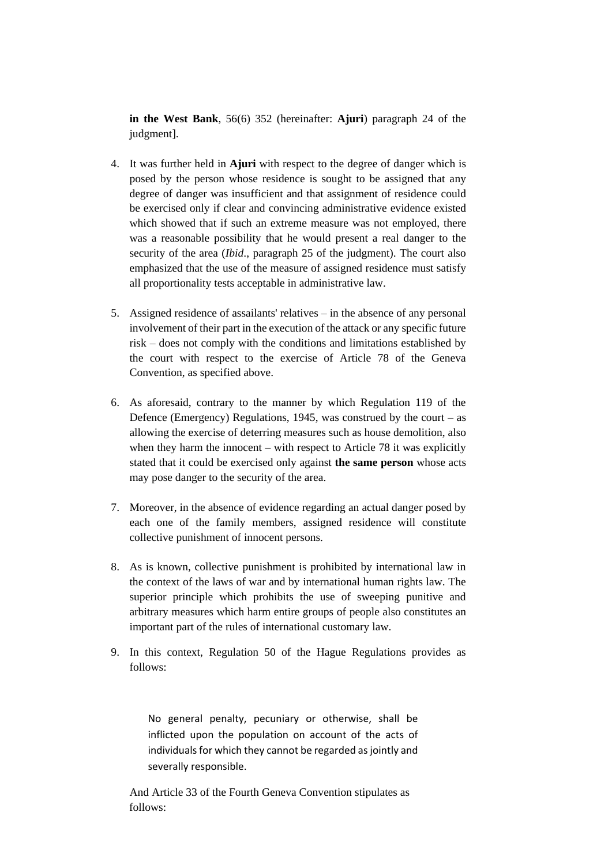**in the West Bank**, 56(6) 352 (hereinafter: **Ajuri**) paragraph 24 of the judgment].

- 4. It was further held in **Ajuri** with respect to the degree of danger which is posed by the person whose residence is sought to be assigned that any degree of danger was insufficient and that assignment of residence could be exercised only if clear and convincing administrative evidence existed which showed that if such an extreme measure was not employed, there was a reasonable possibility that he would present a real danger to the security of the area (*Ibid*., paragraph 25 of the judgment). The court also emphasized that the use of the measure of assigned residence must satisfy all proportionality tests acceptable in administrative law.
- 5. Assigned residence of assailants' relatives in the absence of any personal involvement of their part in the execution of the attack or any specific future risk – does not comply with the conditions and limitations established by the court with respect to the exercise of Article 78 of the Geneva Convention, as specified above.
- 6. As aforesaid, contrary to the manner by which Regulation 119 of the Defence (Emergency) Regulations, 1945, was construed by the court – as allowing the exercise of deterring measures such as house demolition, also when they harm the innocent – with respect to Article 78 it was explicitly stated that it could be exercised only against **the same person** whose acts may pose danger to the security of the area.
- 7. Moreover, in the absence of evidence regarding an actual danger posed by each one of the family members, assigned residence will constitute collective punishment of innocent persons.
- 8. As is known, collective punishment is prohibited by international law in the context of the laws of war and by international human rights law. The superior principle which prohibits the use of sweeping punitive and arbitrary measures which harm entire groups of people also constitutes an important part of the rules of international customary law.
- 9. In this context, Regulation 50 of the Hague Regulations provides as follows:

No general penalty, pecuniary or otherwise, shall be inflicted upon the population on account of the acts of individuals for which they cannot be regarded as jointly and severally responsible.

And Article 33 of the Fourth Geneva Convention stipulates as follows: